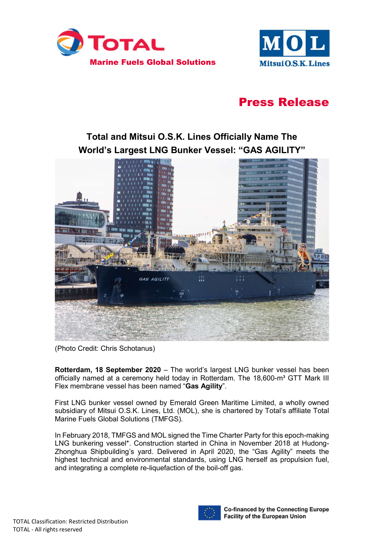



# Press Release

## Total and Mitsui O.S.K. Lines Officially Name The World's Largest LNG Bunker Vessel: "GAS AGILITY"



(Photo Credit: Chris Schotanus)

Rotterdam, 18 September 2020 – The world's largest LNG bunker vessel has been officially named at a ceremony held today in Rotterdam. The 18,600-m<sup>3</sup> GTT Mark III Flex membrane vessel has been named "Gas Agility".

First LNG bunker vessel owned by Emerald Green Maritime Limited, a wholly owned subsidiary of Mitsui O.S.K. Lines, Ltd. (MOL), she is chartered by Total's affiliate Total Marine Fuels Global Solutions (TMFGS).

In February 2018, TMFGS and MOL signed the Time Charter Party for this epoch-making LNG bunkering vessel\*. Construction started in China in November 2018 at Hudong-Zhonghua Shipbuilding's yard. Delivered in April 2020, the "Gas Agility" meets the highest technical and environmental standards, using LNG herself as propulsion fuel, and integrating a complete re-liquefaction of the boil-off gas.



**Co-financed by the Connecting Europe Facility of the European Union**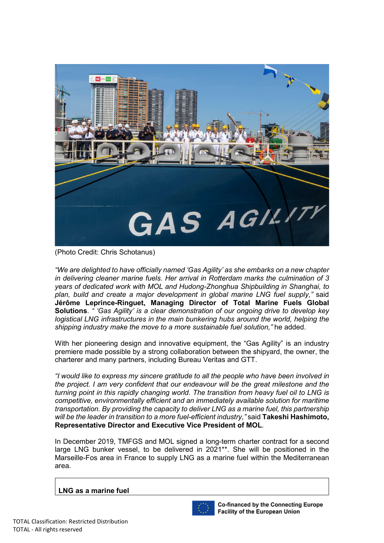

(Photo Credit: Chris Schotanus)

"We are delighted to have officially named 'Gas Agility' as she embarks on a new chapter in delivering cleaner marine fuels. Her arrival in Rotterdam marks the culmination of 3 years of dedicated work with MOL and Hudong-Zhonghua Shipbuilding in Shanghai, to plan, build and create a major development in global marine LNG fuel supply," said Jérôme Leprince-Ringuet, Managing Director of Total Marine Fuels Global Solutions. " 'Gas Agility' is a clear demonstration of our ongoing drive to develop key logistical LNG infrastructures in the main bunkering hubs around the world, helping the shipping industry make the move to a more sustainable fuel solution," he added.

With her pioneering design and innovative equipment, the "Gas Agility" is an industry premiere made possible by a strong collaboration between the shipyard, the owner, the charterer and many partners, including Bureau Veritas and GTT.

"I would like to express my sincere gratitude to all the people who have been involved in the project. I am very confident that our endeavour will be the great milestone and the turning point in this rapidly changing world. The transition from heavy fuel oil to LNG is competitive, environmentally efficient and an immediately available solution for maritime transportation. By providing the capacity to deliver LNG as a marine fuel, this partnership will be the leader in transition to a more fuel-efficient industry," said Takeshi Hashimoto, Representative Director and Executive Vice President of MOL.

In December 2019, TMFGS and MOL signed a long-term charter contract for a second large LNG bunker vessel, to be delivered in 2021\*\*. She will be positioned in the Marseille-Fos area in France to supply LNG as a marine fuel within the Mediterranean area.

#### LNG as a marine fuel



**Co-financed by the Connecting Europe Facility of the European Union**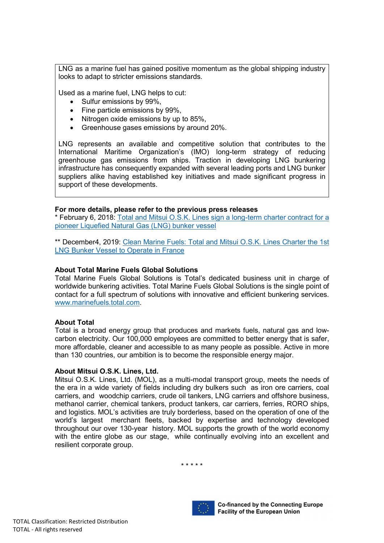LNG as a marine fuel has gained positive momentum as the global shipping industry looks to adapt to stricter emissions standards.

Used as a marine fuel, LNG helps to cut:

- Sulfur emissions by 99%.
- Fine particle emissions by 99%.
- Nitrogen oxide emissions by up to 85%,
- Greenhouse gases emissions by around 20%.

LNG represents an available and competitive solution that contributes to the International Maritime Organization's (IMO) long-term strategy of reducing greenhouse gas emissions from ships. Traction in developing LNG bunkering infrastructure has consequently expanded with several leading ports and LNG bunker suppliers alike having established key initiatives and made significant progress in support of these developments.

#### For more details, please refer to the previous press releases

\* February 6, 2018: Total and Mitsui O.S.K. Lines sign a long-term charter contract for a pioneer Liquefied Natural Gas (LNG) bunker vessel

\*\* December4, 2019: Clean Marine Fuels: Total and Mitsui O.S.K. Lines Charter the 1st LNG Bunker Vessel to Operate in France

#### About Total Marine Fuels Global Solutions

Total Marine Fuels Global Solutions is Total's dedicated business unit in charge of worldwide bunkering activities. Total Marine Fuels Global Solutions is the single point of contact for a full spectrum of solutions with innovative and efficient bunkering services. www.marinefuels.total.com.

#### About Total

Total is a broad energy group that produces and markets fuels, natural gas and lowcarbon electricity. Our 100,000 employees are committed to better energy that is safer, more affordable, cleaner and accessible to as many people as possible. Active in more than 130 countries, our ambition is to become the responsible energy major.

#### About Mitsui O.S.K. Lines, Ltd.

Mitsui O.S.K. Lines, Ltd. (MOL), as a multi-modal transport group, meets the needs of the era in a wide variety of fields including dry bulkers such as iron ore carriers, coal carriers, and woodchip carriers, crude oil tankers, LNG carriers and offshore business, methanol carrier, chemical tankers, product tankers, car carriers, ferries, RORO ships, and logistics. MOL's activities are truly borderless, based on the operation of one of the world's largest merchant fleets, backed by expertise and technology developed throughout our over 130-year history. MOL supports the growth of the world economy with the entire globe as our stage, while continually evolving into an excellent and resilient corporate group.

\* \* \* \* \*



**Co-financed by the Connecting Europe** Facility of the European Union